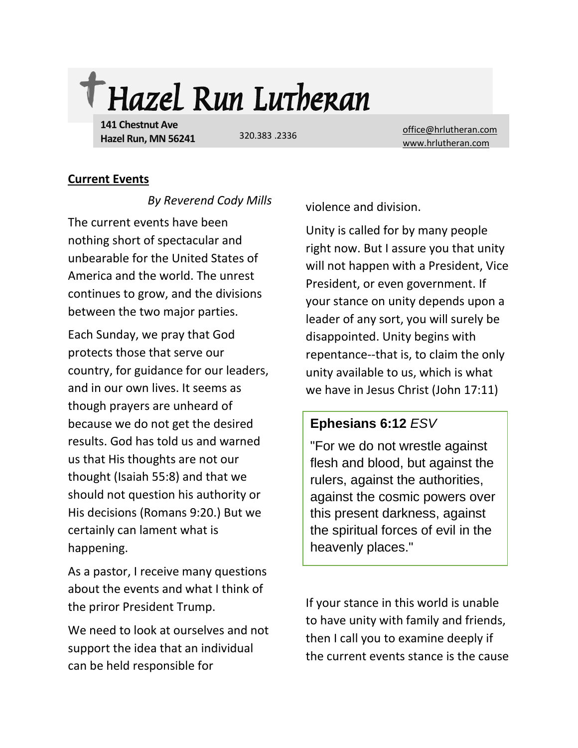

**141 Chestnut Ave Hazel Run, MN 56241**

320.383 .2336

[office@hrlutheran.com](mailto:office@hrlutheran.com) [www.hrlutheran.com](http://www.hrlutheran.com/)

## **Current Events**

*By Reverend Cody Mills*

The current events have been nothing short of spectacular and unbearable for the United States of America and the world. The unrest continues to grow, and the divisions between the two major parties.

Each Sunday, we pray that God protects those that serve our country, for guidance for our leaders, and in our own lives. It seems as though prayers are unheard of because we do not get the desired results. God has told us and warned us that His thoughts are not our thought (Isaiah 55:8) and that we should not question his authority or His decisions (Romans 9:20.) But we certainly can lament what is happening.

As a pastor, I receive many questions about the events and what I think of the priror President Trump.

We need to look at ourselves and not support the idea that an individual can be held responsible for

violence and division.

Unity is called for by many people right now. But I assure you that unity will not happen with a President, Vice President, or even government. If your stance on unity depends upon a leader of any sort, you will surely be disappointed. Unity begins with repentance--that is, to claim the only unity available to us, which is what we have in Jesus Christ (John 17:11)

# **Ephesians 6:12** *ESV*

"For we do not wrestle against flesh and blood, but against the rulers, against the authorities, against the cosmic powers over this present darkness, against the spiritual forces of evil in the heavenly places."

If your stance in this world is unable to have unity with family and friends, then I call you to examine deeply if the current events stance is the cause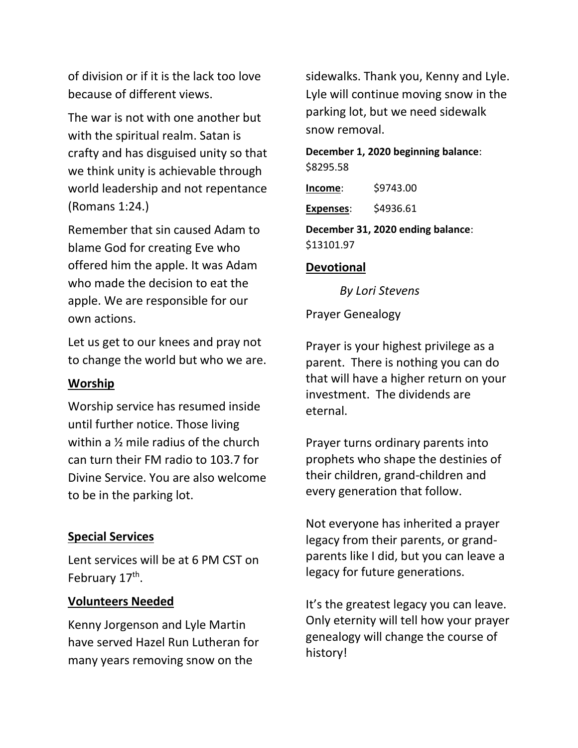of division or if it is the lack too love because of different views.

The war is not with one another but with the spiritual realm. Satan is crafty and has disguised unity so that we think unity is achievable through world leadership and not repentance (Romans 1:24.)

Remember that sin caused Adam to blame God for creating Eve who offered him the apple. It was Adam who made the decision to eat the apple. We are responsible for our own actions.

Let us get to our knees and pray not to change the world but who we are.

# **Worship**

Worship service has resumed inside until further notice. Those living within a ½ mile radius of the church can turn their FM radio to 103.7 for Divine Service. You are also welcome to be in the parking lot.

## **Special Services**

Lent services will be at 6 PM CST on February 17<sup>th</sup>.

# **Volunteers Needed**

Kenny Jorgenson and Lyle Martin have served Hazel Run Lutheran for many years removing snow on the

sidewalks. Thank you, Kenny and Lyle. Lyle will continue moving snow in the parking lot, but we need sidewalk snow removal.

**December 1, 2020 beginning balance**: \$8295.58

**Income**: \$9743.00

**Expenses**: \$4936.61

**December 31, 2020 ending balance**: \$13101.97

# **Devotional**

*By Lori Stevens*

Prayer Genealogy

Prayer is your highest privilege as a parent. There is nothing you can do that will have a higher return on your investment. The dividends are eternal.

Prayer turns ordinary parents into prophets who shape the destinies of their children, grand-children and every generation that follow.

Not everyone has inherited a prayer legacy from their parents, or grandparents like I did, but you can leave a legacy for future generations.

It's the greatest legacy you can leave. Only eternity will tell how your prayer genealogy will change the course of history!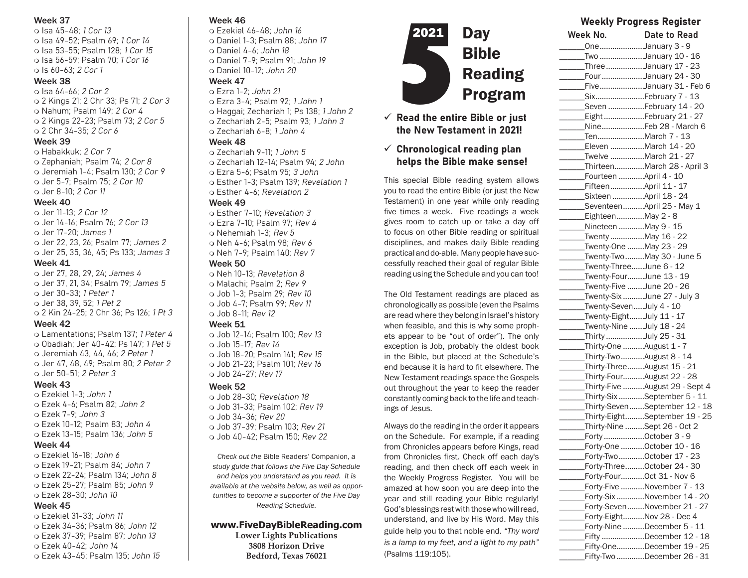#### Week 37

 Isa 45-48; 1 Cor 13 Isa 49-52; Psalm 69; 1 Cor 14 Isa 53-55; Psalm 128; 1 Cor 15 Isa 56-59; Psalm 70; 1 Cor 16 o Is 60-63; 2 Cor 1

#### Week 38

 Isa 64-66; 2 Cor 2 2 Kings 21; 2 Chr 33; Ps 71; 2 Cor 3 o Nahum: Psalm 149: 2 Cor 4 2 Kings 22-23; Psalm 73; 2 Cor 5 2 Chr 34-35; 2 Cor 6

#### Week 39

 Habakkuk; 2 Cor 7 Zephaniah; Psalm 74; 2 Cor 8 Jeremiah 1-4; Psalm 130; 2 Cor 9 Jer 5-7; Psalm 75; 2 Cor 10 Jer 8-10; 2 Cor 11

#### Week 40

 Jer 11-13; 2 Cor 12 Jer 14-16; Psalm 76; 2 Cor 13 Jer 17-20; James 1 Jer 22, 23, 26; Psalm 77; James 2 Jer 25, 35, 36, 45; Ps 133; James 3 Week 41

 Jer 27, 28, 29, 24; James 4 Jer 37, 21, 34; Psalm 79; James 5 Jer 30-33; 1 Peter 1 Jer 38, 39, 52; 1 Pet 2 2 Kin 24-25; 2 Chr 36; Ps 126; 1 Pt 3

#### Week 42

 Lamentations; Psalm 137; 1 Peter 4 Obadiah; Jer 40-42; Ps 147; 1 Pet 5 Jeremiah 43, 44, 46; 2 Peter 1 Jer 47, 48, 49; Psalm 80; 2 Peter 2 Jer 50-51; 2 Peter 3

#### Week 43

- Ezekiel 1-3; John 1 Ezek 4-6; Psalm 82; John 2 Ezek 7-9; John 3 Ezek 10-12; Psalm 83; John 4 Ezek 13-15; Psalm 136; John 5 Week 44
- Ezekiel 16-18; John 6 Ezek 19-21; Psalm 84; John 7 Ezek 22-24; Psalm 134; John 8 Ezek 25-27; Psalm 85; John 9 Ezek 28-30; John 10

### Week 45

- Ezekiel 31-33; John 11 Ezek 34-36; Psalm 86; John 12 Ezek 37-39; Psalm 87; John 13 Ezek 40-42; John 14
- Ezek 43-45; Psalm 135; John 15

## Week 46

- Ezekiel 46-48; John 16 o Daniel 1-3; Psalm 88; John 17
- Daniel 4-6; John 18 o Daniel 7-9; Psalm 91; John 19 Daniel 10-12; John 20

## Week 47

- Ezra 1-2; John 21 Ezra 3-4; Psalm 92; 1 John 1 o Haggai; Zechariah 1; Ps 138; 1 John 2 Zechariah 2-5; Psalm 93; 1 John 3
- Zechariah 6-8; 1 John 4

#### Week 48

- $\alpha$  Zechariah 9-11; 1 John 5 Zechariah 12-14; Psalm 94; 2 John
- Ezra 5-6; Psalm 95; 3 John
- Esther 1-3; Psalm 139; Revelation 1 o Esther 4-6; Revelation 2

## Week 49

- Esther 7-10; Revelation 3 Ezra 7-10; Psalm 97; Rev 4 o Nehemiah 1-3; Rev 5 Neh 4-6; Psalm 98; Rev 6
- Neh 7-9; Psalm 140; Rev 7

#### Week 50

o Neh 10-13; Revelation 8 o Malachi: Psalm 2: Rev 9 Job 1-3; Psalm 29; Rev 10 Job 4-7; Psalm 99; Rev 11 Job 8-11; Rev 12

#### Week 51

 Job 12-14; Psalm 100; Rev 13  $\Omega$  Job 15-17; Rev 14 Job 18-20; Psalm 141; Rev 15 Job 21-23; Psalm 101; Rev 16 Job 24-27; Rev 17

### Week 52

 Job 28-30; Revelation 18 Job 31-33; Psalm 102; Rev 19 Job 34-36; Rev 20 Job 37-39; Psalm 103; Rev 21 Job 40-42; Psalm 150; Rev 22

*Check out the* Bible Readers' Companion, *a study guide that follows the Five Day Schedule and helps you understand as you read. It is available at the website below, as well as opportunities to become a supporter of the Five Day Reading Schedule.* 

## **www.FiveDayBibleReading.com**

**Lower Lights Publications 3808 Horizon Drive Bedford, Texas 76021**



## $\checkmark$  Read the entire Bible or just the New Testament in 2021!

## $\checkmark$  Chronological reading plan helps the Bible make sense!

This special Bible reading system allows you to read the entire Bible (or just the New Testament) in one year while only reading five times a week. Five readings a week gives room to catch up or take a day off to focus on other Bible reading or spiritual disciplines, and makes daily Bible reading practical and do-able. Many people have successfully reached their goal of regular Bible reading using the Schedule and you can too!

The Old Testament readings are placed as chronologically as possible (even the Psalms are read where they belong in Israel's history when feasible, and this is why some prophets appear to be "out of order"). The only exception is Job, probably the oldest book in the Bible, but placed at the Schedule's end because it is hard to fit elsewhere. The New Testament readings space the Gospels out throughout the year to keep the reader constantly coming back to the life and teachings of Jesus.

Always do the reading in the order it appears on the Schedule. For example, if a reading from Chronicles appears before Kings, read from Chronicles first. Check off each day's reading, and then check off each week in the Weekly Progress Register. You will be amazed at how soon you are deep into the year and still reading your Bible regularly! God's blessings rest with those who will read, understand, and live by His Word. May this guide help you to that noble end. *"Thy word is a lamp to my feet, and a light to my path"* (Psalms 119:105).

| Week No.          | <b>Date to Read</b>                                    |
|-------------------|--------------------------------------------------------|
|                   | OneJanuary 3 - 9                                       |
|                   | Two January 10 - 16                                    |
|                   | ThreeJanuary 17 - 23                                   |
|                   | FourJanuary 24 - 30                                    |
|                   | FiveJanuary 31 - Feb 6                                 |
|                   | SixFebruary 7 - 13                                     |
|                   | Seven February 14 - 20                                 |
|                   | EightFebruary 21 - 27                                  |
|                   | NineFeb 28 - March 6                                   |
|                   | TenMarch 7 - 13                                        |
|                   | Eleven March 14 - 20                                   |
|                   | Twelve March 21 - 27                                   |
|                   | ThirteenMarch 28 - April 3                             |
|                   | Fourteen April 4 - 10                                  |
|                   | FifteenApril 11 - 17                                   |
|                   | Sixteen April 18 - 24                                  |
|                   | SeventeenApril 25 - May 1                              |
| EighteenMay 2 - 8 |                                                        |
|                   | Nineteen May 9 - 15                                    |
|                   | Twenty May 16 - 22                                     |
|                   | Twenty-One May 23 - 29                                 |
|                   | Twenty-TwoMay 30 - June 5                              |
|                   | Twenty-ThreeJune 6 - 12                                |
|                   | Twenty-FourJune 13 - 19                                |
|                   | Twenty-Five June 20 - 26                               |
|                   | Twenty-Six June 27 - July 3<br>Twenty-SevenJuly 4 - 10 |
|                   | Twenty-EightJuly 11 - 17                               |
|                   | Twenty-Nine July 18 - 24                               |
|                   | Thirty July 25 - 31                                    |
|                   | Thirty-One August 1 - 7                                |
|                   | Thirty-Two August 8 - 14                               |
|                   | Thirty-ThreeAugust 15 - 21                             |
|                   | Thirty-FourAugust 22 - 28                              |
|                   | Thirty-Five August 29 - Sept 4                         |
|                   | Thirty-Six September 5 - 11                            |
|                   | Thirty-SevenSeptember 12 - 18                          |
|                   | Thirty-EightSeptember 19 - 25                          |
|                   | Thirty-Nine Sept 26 - Oct 2                            |
|                   | Forty October 3 - 9                                    |
|                   | Forty-One October 10 - 16                              |
|                   | Forty-TwoOctober 17 - 23                               |
|                   | Forty-ThreeOctober 24 - 30                             |
|                   | Forty-FourOct 31 - Nov 6                               |
|                   | Forty-Five November 7 - 13                             |
|                   | Forty-Six November 14 - 20                             |
|                   | Forty-SevenNovember 21 - 27                            |
|                   | Forty-EightNov 28 - Dec 4                              |
|                   | Forty-Nine December 5 - 11                             |
|                   | Fifty December 12 - 18                                 |
|                   | Fifty-OneDecember 19 - 25                              |
|                   | Fifty-Two December 26 - 31                             |

Weekly Progress Register